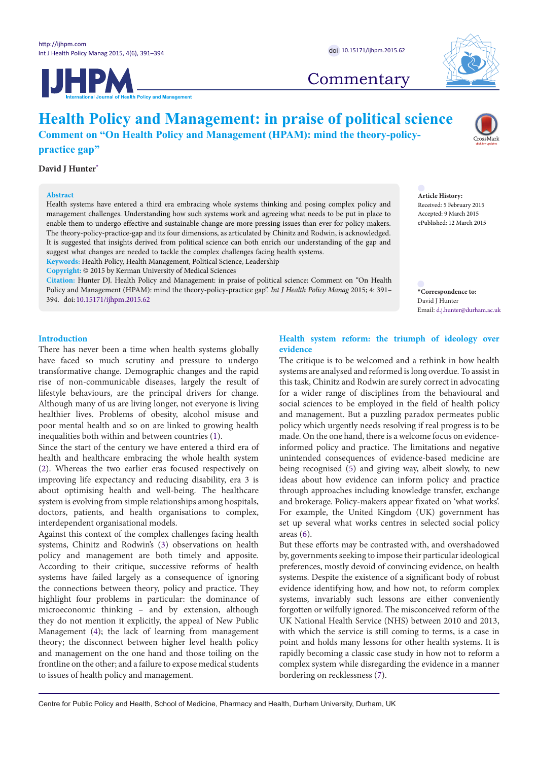



## **Commentary**

# **Health Policy and Management: in praise of political science**

**Comment on "On Health Policy and Management (HPAM): mind the theory-policy-**

**practice gap"**

#### **David J Hunter[\\*](#page-0-0)**

#### **Abstract**

Health systems have entered a third era embracing whole systems thinking and posing complex policy and management challenges. Understanding how such systems work and agreeing what needs to be put in place to enable them to undergo effective and sustainable change are more pressing issues than ever for policy-makers. The theory-policy-practice-gap and its four dimensions, as articulated by Chinitz and Rodwin, is acknowledged. It is suggested that insights derived from political science can both enrich our understanding of the gap and suggest what changes are needed to tackle the complex challenges facing health systems. **Keywords:** Health Policy, Health Management, Political Science, Leadership

**Copyright:** © 2015 by Kerman University of Medical Sciences

**Citation:** Hunter DJ. Health Policy and Management: in praise of political science: Comment on "On Health Policy and Management (HPAM): mind the theory-policy-practice gap". *Int J Health Policy Manag* 2015; 4: 391– 394. doi: [10.15171/ijhpm.2015.62](http://dx.doi.org/10.15171/ijhpm.2015.62)

**Article History:** Received: 5 February 2015 Accepted: 9 March 2015 ePublished: 12 March 2015

<span id="page-0-0"></span>**\*Correspondence to:** David J Hunter Email: d.j.hunter@durham.ac.uk

#### **Introduction**

There has never been a time when health systems globally have faced so much scrutiny and pressure to undergo transformative change. Demographic changes and the rapid rise of non-communicable diseases, largely the result of lifestyle behaviours, are the principal drivers for change. Although many of us are living longer, not everyone is living healthier lives. Problems of obesity, alcohol misuse and poor mental health and so on are linked to growing health inequalities both within and between countries ([1\)](#page-2-0).

Since the start of the century we have entered a third era of health and healthcare embracing the whole health system ([2\)](#page-2-1). Whereas the two earlier eras focused respectively on improving life expectancy and reducing disability, era 3 is about optimising health and well-being. The healthcare system is evolving from simple relationships among hospitals, doctors, patients, and health organisations to complex, interdependent organisational models.

Against this context of the complex challenges facing health systems, Chinitz and Rodwin's [\(3](#page-3-0)) observations on health policy and management are both timely and apposite. According to their critique, successive reforms of health systems have failed largely as a consequence of ignoring the connections between theory, policy and practice. They highlight four problems in particular: the dominance of microeconomic thinking – and by extension, although they do not mention it explicitly, the appeal of New Public Management ([4](#page-3-1)); the lack of learning from management theory; the disconnect between higher level health policy and management on the one hand and those toiling on the frontline on the other; and a failure to expose medical students to issues of health policy and management.

#### **Health system reform: the triumph of ideology over evidence**

The critique is to be welcomed and a rethink in how health systems are analysed and reformed is long overdue. To assist in this task, Chinitz and Rodwin are surely correct in advocating for a wider range of disciplines from the behavioural and social sciences to be employed in the field of health policy and management. But a puzzling paradox permeates public policy which urgently needs resolving if real progress is to be made. On the one hand, there is a welcome focus on evidenceinformed policy and practice. The limitations and negative unintended consequences of evidence-based medicine are being recognised [\(5\)](#page-3-2) and giving way, albeit slowly, to new ideas about how evidence can inform policy and practice through approaches including knowledge transfer, exchange and brokerage. Policy-makers appear fixated on 'what works'. For example, the United Kingdom (UK) government has set up several what works centres in selected social policy areas ([6\)](#page-3-3).

But these efforts may be contrasted with, and overshadowed by, governments seeking to impose their particular ideological preferences, mostly devoid of convincing evidence, on health systems. Despite the existence of a significant body of robust evidence identifying how, and how not, to reform complex systems, invariably such lessons are either conveniently forgotten or wilfully ignored. The misconceived reform of the UK National Health Service (NHS) between 2010 and 2013, with which the service is still coming to terms, is a case in point and holds many lessons for other health systems. It is rapidly becoming a classic case study in how not to reform a complex system while disregarding the evidence in a manner bordering on recklessness ([7](#page-3-4)).

Centre for Public Policy and Health, School of Medicine, Pharmacy and Health, Durham University, Durham, UK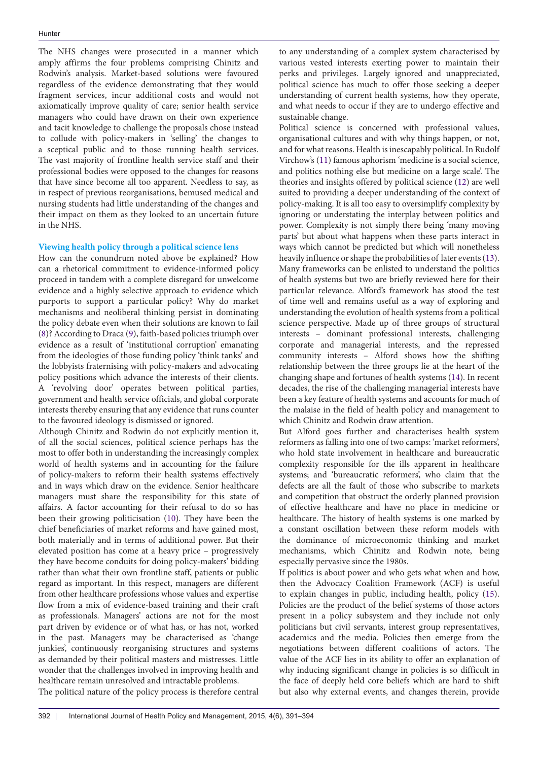The NHS changes were prosecuted in a manner which amply affirms the four problems comprising Chinitz and Rodwin's analysis. Market-based solutions were favoured regardless of the evidence demonstrating that they would fragment services, incur additional costs and would not axiomatically improve quality of care; senior health service managers who could have drawn on their own experience and tacit knowledge to challenge the proposals chose instead to collude with policy-makers in 'selling' the changes to a sceptical public and to those running health services. The vast majority of frontline health service staff and their professional bodies were opposed to the changes for reasons that have since become all too apparent. Needless to say, as in respect of previous reorganisations, bemused medical and nursing students had little understanding of the changes and their impact on them as they looked to an uncertain future in the NHS.

#### **Viewing health policy through a political science lens**

How can the conundrum noted above be explained? How can a rhetorical commitment to evidence-informed policy proceed in tandem with a complete disregard for unwelcome evidence and a highly selective approach to evidence which purports to support a particular policy? Why do market mechanisms and neoliberal thinking persist in dominating the policy debate even when their solutions are known to fail ([8\)](#page-3-5)? According to Draca ([9](#page-3-6)), faith-based policies triumph over evidence as a result of 'institutional corruption' emanating from the ideologies of those funding policy 'think tanks' and the lobbyists fraternising with policy-makers and advocating policy positions which advance the interests of their clients. A 'revolving door' operates between political parties, government and health service officials, and global corporate interests thereby ensuring that any evidence that runs counter to the favoured ideology is dismissed or ignored.

Although Chinitz and Rodwin do not explicitly mention it, of all the social sciences, political science perhaps has the most to offer both in understanding the increasingly complex world of health systems and in accounting for the failure of policy-makers to reform their health systems effectively and in ways which draw on the evidence. Senior healthcare managers must share the responsibility for this state of affairs. A factor accounting for their refusal to do so has been their growing politicisation ([10](#page-3-7)). They have been the chief beneficiaries of market reforms and have gained most, both materially and in terms of additional power. But their elevated position has come at a heavy price – progressively they have become conduits for doing policy-makers' bidding rather than what their own frontline staff, patients or public regard as important. In this respect, managers are different from other healthcare professions whose values and expertise flow from a mix of evidence-based training and their craft as professionals. Managers' actions are not for the most part driven by evidence or of what has, or has not, worked in the past. Managers may be characterised as 'change junkies', continuously reorganising structures and systems as demanded by their political masters and mistresses. Little wonder that the challenges involved in improving health and healthcare remain unresolved and intractable problems.

The political nature of the policy process is therefore central

to any understanding of a complex system characterised by various vested interests exerting power to maintain their perks and privileges. Largely ignored and unappreciated, political science has much to offer those seeking a deeper understanding of current health systems, how they operate, and what needs to occur if they are to undergo effective and sustainable change.

Political science is concerned with professional values, organisational cultures and with why things happen, or not, and for what reasons. Health is inescapably political. In Rudolf Virchow's ([11](#page-3-8)) famous aphorism 'medicine is a social science, and politics nothing else but medicine on a large scale'. The theories and insights offered by political science ([12](#page-3-9)) are well suited to providing a deeper understanding of the context of policy-making. It is all too easy to oversimplify complexity by ignoring or understating the interplay between politics and power. Complexity is not simply there being 'many moving parts' but about what happens when these parts interact in ways which cannot be predicted but which will nonetheless heavily influence or shape the probabilities of later events [\(13](#page-3-10)). Many frameworks can be enlisted to understand the politics of health systems but two are briefly reviewed here for their particular relevance. Alford's framework has stood the test of time well and remains useful as a way of exploring and understanding the evolution of health systems from a political science perspective. Made up of three groups of structural interests – dominant professional interests, challenging corporate and managerial interests, and the repressed community interests – Alford shows how the shifting relationship between the three groups lie at the heart of the changing shape and fortunes of health systems ([14](#page-3-11)). In recent decades, the rise of the challenging managerial interests have been a key feature of health systems and accounts for much of the malaise in the field of health policy and management to which Chinitz and Rodwin draw attention.

But Alford goes further and characterises health system reformers as falling into one of two camps: 'market reformers', who hold state involvement in healthcare and bureaucratic complexity responsible for the ills apparent in healthcare systems; and 'bureaucratic reformers', who claim that the defects are all the fault of those who subscribe to markets and competition that obstruct the orderly planned provision of effective healthcare and have no place in medicine or healthcare. The history of health systems is one marked by a constant oscillation between these reform models with the dominance of microeconomic thinking and market mechanisms, which Chinitz and Rodwin note, being especially pervasive since the 1980s.

If politics is about power and who gets what when and how, then the Advocacy Coalition Framework (ACF) is useful to explain changes in public, including health, policy [\(15](#page-3-12)). Policies are the product of the belief systems of those actors present in a policy subsystem and they include not only politicians but civil servants, interest group representatives, academics and the media. Policies then emerge from the negotiations between different coalitions of actors. The value of the ACF lies in its ability to offer an explanation of why inducing significant change in policies is so difficult in the face of deeply held core beliefs which are hard to shift but also why external events, and changes therein, provide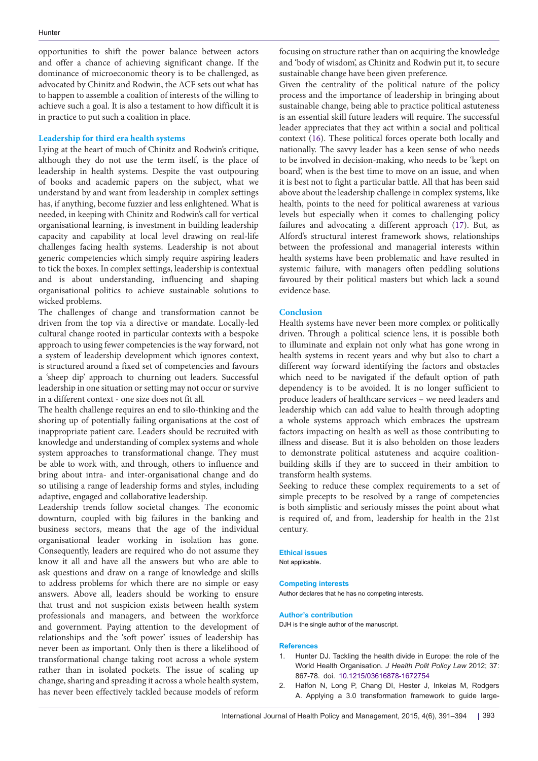opportunities to shift the power balance between actors and offer a chance of achieving significant change. If the dominance of microeconomic theory is to be challenged, as advocated by Chinitz and Rodwin, the ACF sets out what has to happen to assemble a coalition of interests of the willing to achieve such a goal. It is also a testament to how difficult it is in practice to put such a coalition in place.

#### **Leadership for third era health systems**

Lying at the heart of much of Chinitz and Rodwin's critique, although they do not use the term itself, is the place of leadership in health systems. Despite the vast outpouring of books and academic papers on the subject, what we understand by and want from leadership in complex settings has, if anything, become fuzzier and less enlightened. What is needed, in keeping with Chinitz and Rodwin's call for vertical organisational learning, is investment in building leadership capacity and capability at local level drawing on real-life challenges facing health systems. Leadership is not about generic competencies which simply require aspiring leaders to tick the boxes. In complex settings, leadership is contextual and is about understanding, influencing and shaping organisational politics to achieve sustainable solutions to wicked problems.

The challenges of change and transformation cannot be driven from the top via a directive or mandate. Locally-led cultural change rooted in particular contexts with a bespoke approach to using fewer competencies is the way forward, not a system of leadership development which ignores context, is structured around a fixed set of competencies and favours a 'sheep dip' approach to churning out leaders. Successful leadership in one situation or setting may not occur or survive in a different context - one size does not fit all.

The health challenge requires an end to silo-thinking and the shoring up of potentially failing organisations at the cost of inappropriate patient care. Leaders should be recruited with knowledge and understanding of complex systems and whole system approaches to transformational change. They must be able to work with, and through, others to influence and bring about intra- and inter-organisational change and do so utilising a range of leadership forms and styles, including adaptive, engaged and collaborative leadership.

Leadership trends follow societal changes. The economic downturn, coupled with big failures in the banking and business sectors, means that the age of the individual organisational leader working in isolation has gone. Consequently, leaders are required who do not assume they know it all and have all the answers but who are able to ask questions and draw on a range of knowledge and skills to address problems for which there are no simple or easy answers. Above all, leaders should be working to ensure that trust and not suspicion exists between health system professionals and managers, and between the workforce and government. Paying attention to the development of relationships and the 'soft power' issues of leadership has never been as important. Only then is there a likelihood of transformational change taking root across a whole system rather than in isolated pockets. The issue of scaling up change, sharing and spreading it across a whole health system, has never been effectively tackled because models of reform

focusing on structure rather than on acquiring the knowledge and 'body of wisdom', as Chinitz and Rodwin put it, to secure sustainable change have been given preference.

Given the centrality of the political nature of the policy process and the importance of leadership in bringing about sustainable change, being able to practice political astuteness is an essential skill future leaders will require. The successful leader appreciates that they act within a social and political context [\(16\)](#page-3-13). These political forces operate both locally and nationally. The savvy leader has a keen sense of who needs to be involved in decision-making, who needs to be 'kept on board', when is the best time to move on an issue, and when it is best not to fight a particular battle. All that has been said above about the leadership challenge in complex systems, like health, points to the need for political awareness at various levels but especially when it comes to challenging policy failures and advocating a different approach ([17](#page-3-14)). But, as Alford's structural interest framework shows, relationships between the professional and managerial interests within health systems have been problematic and have resulted in systemic failure, with managers often peddling solutions favoured by their political masters but which lack a sound evidence base.

#### **Conclusion**

Health systems have never been more complex or politically driven. Through a political science lens, it is possible both to illuminate and explain not only what has gone wrong in health systems in recent years and why but also to chart a different way forward identifying the factors and obstacles which need to be navigated if the default option of path dependency is to be avoided. It is no longer sufficient to produce leaders of healthcare services – we need leaders and leadership which can add value to health through adopting a whole systems approach which embraces the upstream factors impacting on health as well as those contributing to illness and disease. But it is also beholden on those leaders to demonstrate political astuteness and acquire coalitionbuilding skills if they are to succeed in their ambition to transform health systems.

Seeking to reduce these complex requirements to a set of simple precepts to be resolved by a range of competencies is both simplistic and seriously misses the point about what is required of, and from, leadership for health in the 21st century.

### **Ethical issues**

Not applicable.

#### **Competing interests**

Author declares that he has no competing interests.

#### **Author's contribution**

DJH is the single author of the manuscript.

#### **References**

- <span id="page-2-0"></span>1. Hunter DJ. Tackling the health divide in Europe: the role of the World Health Organisation. *J Health Polit Policy Law* 2012; 37: 867-78. doi. [10.1215/03616878-1672754](http://dx.doi.org/10.1215/03616878-1672754)
- <span id="page-2-1"></span>2. Halfon N, Long P, Chang DI, Hester J, Inkelas M, Rodgers A. Applying a 3.0 transformation framework to guide large-